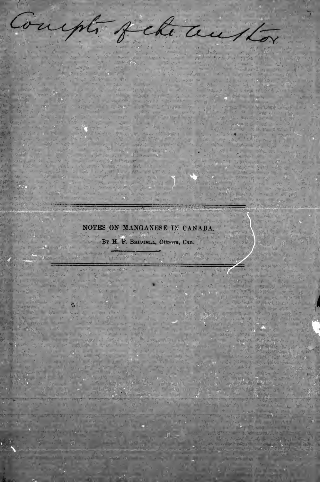Compto Jela auston NOTES ON MANGANESE IN CANADA BY H. P. BRUMELL, Ottawa, Can. u importante de la partide de la companya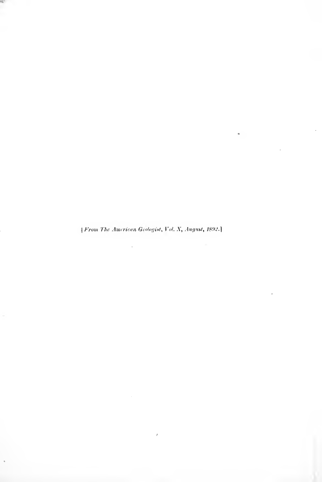*From The American Geologist, Vol. X, August, 1892.*]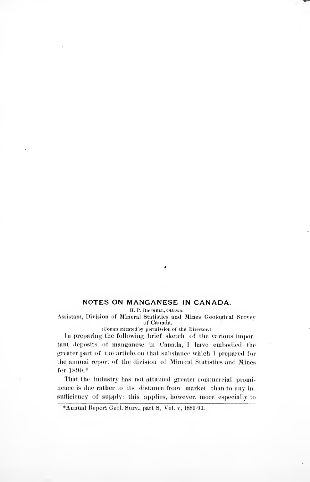## NOTES ON MANGANESE IN CANADA.

H. P. BRUMELL, Ottawa.

Assistant, Division of Mineral Statistics and Mines Geological Survey of Canada.

(Communicated by permission of the Director.)

In preparing the following brief sketch of the various important deposits of manganese in Canada, I have embodied the greater part of the article on that substance which I prepared for the annual report of the division of Mineral Statistics and Mines for 1890 \*

That the industry has not attained greater commercial prominence is due rather to its distance from market than to any insufficiency of supply; this applies, however, more especially to

<sup>\*</sup>Annual Report Geol. Surv., part S. Vol. v. 1889-90.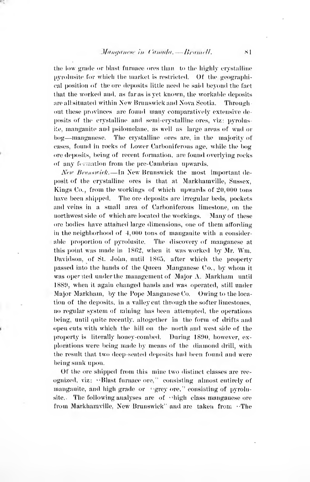the low grade or blast furnace ores than to the highly erystalline pyrolusite for which the market is restricted. Of the geographical position of the ore deposits little need he said beyond the fact that the worked and. as far as is yet known, the workahle deposits are all situated within New Brunswick and Nova Scotia. Throughout these provinces are found many comparatively extensive deposits of the crystalline and semi-crystalline ores, viz: pyrolusite, manganite and psilomelane, as well as large areas of wad or bog-manganese. The crystalline ores are, in the majority of cases, found in rocks of Lower Carboniferous age. while the bog ore deposits, being of recent formation, are found overlying rocks of any formation from the pre-Cambrian upwards.

New Branswick. - In New Brunswick the most important deposit of the crystalline ores is that at Markhamville, Sussex, Kings Co., from the workings of which upwards of  $20,000$  tons have been shipped. The ore deposits are irregular beds, pockets and veins in a small area of Carboniferous limestone, on the northwest side of which are located the workings. Many of these ore bodies have attahied large dimensions, one of them affording in the neighborhood of 4,000 tons of manganite with a consideral)le proportion of pyrolusite. The discovery of manganese at this point was made in 1862, when it was worked by Mr. Wm. Davidson, of St. John, until 1865, after which the property l)assed into the hands of the Queen Manganese Co., by whom it was oper ited under the management of Major A. Markham until 1880, when it again changed hands and was operated, still under Major Markhain, by the Pope Manganese Co. Owing to the loca tion of the deposits, in a valley cut through the softer limestones, no regular system of mining has been attempted, the operations being, until quite recently, altogether in the form of drifts and open cuts with which the hill on the north and west side of the property is literally honey-combed. During 1890, however, explorations were being made by means of the diamond drill, with the result that two deep-seated deposits had been found and were being sunk upon.

Of the ore shipped from this mine two distinct classes are rec ognized, viz: "Blast furnace ore," consisting almost entirely of manganite, and high grade or "grey ore," consisting of pyrolusite. The following analyses are of  $\cdot$  high class manganese ore from Markhamville. New Brunswick' and are taken from •The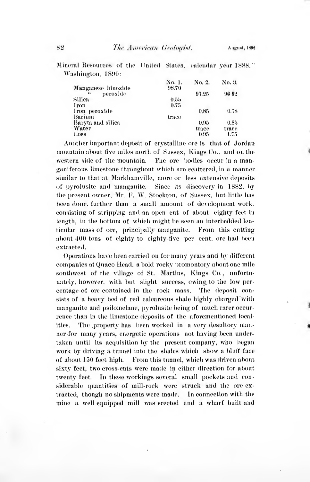Mineral Resources of the United States, calendar year 1888." Washington, 1890:

|                              | No. 1. | No. 2. | No. 3. |
|------------------------------|--------|--------|--------|
| Manganese binoxide           | 98.70  |        |        |
| peroxide<br>$\bullet\bullet$ |        | 97.25  | 96 62  |
| Silica                       | 0.55   |        |        |
| Iron                         | 0.75   |        |        |
| Iron peroxide                |        | 0.85   | 0.78   |
| Barium                       | trace  |        |        |
| Baryta and silica            |        | 0.95   | 0.85   |
| Water                        |        | trace  | trace  |
| $_{\text{Loss}}$             |        | 0.95   | 1.75   |

Another important deposit of crystalline ore is that of Jordan mountain about five miles north of Sussex, Kings Co., and on the western side of the mountain. The ore bodies occur in a manganiferous limestone throughout which are seattered, in a manner similar to that at Markhamville, more or less extensive deposits of pyrolusite and manganite. Since its discovery in 1882, by the present owner, Mr. F. W. Stockton, of Sussex, but little has been done, further than a small amount of development work. consisting of stripping and an open cut of about eighty feet in length, in the bottom of which might be seen an interbedded lenticular mass of ore, principally manganite. From this cutting about 400 tons of eighty to eighty-five per cent, ore had been extracted.

Operations have been carried on for many years and by different companies at Quaco Head, a bold rocky promontory about one mile southwest of the village of St. Martins, Kings Co., unfortunately, however, with but slight success, owing to the low percentage of ore contained in the rock mass. The deposit consists of a heavy bed of red calcareous shale highly charged with manganite and psilomelane, pyrolusite being of much rarer occurrence than in the limestone deposits of the aforementioned localities. The property has been worked in a very desultory manner for many years, energetic operations not having been undertaken until its acquisition by the present company, who began work by driving a tunnel into the shales which show a bluff face of about 150 feet high. From this tunnel, which was driven about sixty feet, two cross-cuts were made in either direction for about twenty feet. In these workings several small pockets and considerable quantities of mill-rock were struck and the ore extracted, though no shipments were made. In connection with the mine a well equipped mill was erected and a wharf built and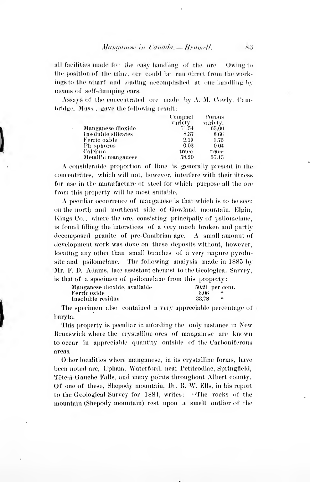all facilities made for the easy handling of the ore. Owing to the position of the mine, ore could be run direct from the workings to the wharf and loading accomplished at one handling by means of self-dumping cars.

Assays of the concentrated ore made by A. M. Cowly. Cambridge. Mass., gave the following result:

|                     | Compact  | Porous   |  |
|---------------------|----------|----------|--|
|                     | variety. | variety. |  |
| Manganese dioxide   | 71.54    | 65.00    |  |
| Insoluble silicates | 8.37     | 6.66     |  |
| Ferric oxide        | 2.19     | 1.75     |  |
| Ph-sphorus          | 0.02     | 0.04     |  |
| Calcium             | trace    | trace    |  |
| Metallic manganese  | 58,20    | 57.15    |  |

A considerable proportion of lime is generally present in the concentrates, which will not, however, interfere with their fitness for use in the manufacture of steel for which purpose all the ore from this property will be most suitable.

 $\Lambda$  peculiar occurrence of manganese is that which is to be seen on the north and northeast side of Gowland mountain, Elgin, Kings Co., where the ore, consisting principally of psilomelane, is found filling the interstices of a very much broken and partly decomposed granite of pre-Cambrian age,  $\Lambda$  small amount of development work was done on these deposits without, however, locating any other than small bunches of a very impure pyrolusite and psilomelane. The following analysis made in 1885 by Mr. F. D. Adams. late assistant chemist to the Geological Survey. is that of a specimen of psilomelane from this property:

| Manganese dioxide, available |       | $50.21$ per cent |
|------------------------------|-------|------------------|
| Ferric oxide                 | 3.06  |                  |
| Insoluble residue            | 33.78 | 66               |

The specimen also contained a very appreciable percentage of barvta.

This property is peculiar in affording the only instance in New Brunswick where the crystalline ores of manganese are known to occur in appreciable quantity outside of the Carboniferous areas.

Other localities where manganese, in its crystalline forms, have been noted are, Upham, Waterford, near Petiteodiac, Springfield, Tête-à-Gauche Falls, and many points throughout Albert county. Of one of these, Shepody mountain, Dr. R. W. Ells, in his report to the Geological Survey for 1884, writes: "The rocks of the mountain (Shepody mountain) rest upon a small outlier of the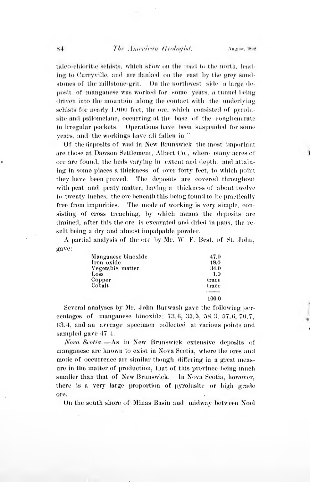## The American Geologist.

Amenst, 1892

talco-chloritic schists, which show on the road to the north, leading to Curryville, and are flanked on the east by the grey sandstones of the millstone-grit. On the northwest side a large deposit of manganese was worked for some years, a tunnel being driven into the mountain along the contact with the underlying schists for nearly 1,000 feet, the ore, which consisted of pyrolusite and psilomelane, occurring at the base of the conglomerate in irregular pockets. Onerations have been suspended for some vears, and the workings have all fallen in."

Of the deposits of wad in New Brunswick the most important are those at Dawson Settlement, Albert Co., where many acres of ore are found, the beds varying in extent and depth, and attaining in some places a thickness of over forty feet, to which point they have been proved. The deposits are covered throughout with peat and peaty matter, having a thickness of about twelve to twenty inches, the ore beneath this being found to be practically free from impurities. The mode of working is very simple, consisting of cross trenching, by which means the deposits are drained, after this the ore is excavated and dried in pans, the result being a dry and almost impalpable powder.

A partial analysis of the ore by Mr. W. F. Best, of St. John. gave:

| Manganese binoxide | 47.0  |
|--------------------|-------|
| Iron oxide         | 18.0  |
| Vegetable matter   | 34.0  |
| Loss               | 1.0   |
| Copper             | trace |
| Cobalt             | trace |
|                    | 100.0 |

Several analyses by Mr. John Burwash gave the following percentages of manganese binoxide: 73.6, 35.5, 58.3, 57.6, 70.7. 63.4, and an average specimen collected at various points and sampled gave 47.4.

Nova Scotia.-As in New Brunswick extensive deposits of manganese are known to exist in Nova Scotia, where the ores and mode of occurrence are similar though differing in a great measure in the matter of production, that of this province being much smaller than that of New Brunswick. In Nova Scotia, however, there is a very large proportion of pyrolusite or high grade ore.

On the south shore of Minas Basin and midway between Noel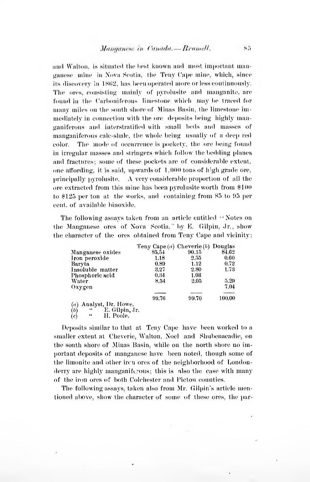and Walton, is situated the best known and most important manganese mine in Nova Scotia, the Teny Cape mine, which, since its discovery in 1862, has been operated more or less continuously. The ores, consisting mainly of pyrolusite and manganite, are found in the Carboniferous limestone which may be traced for many miles on the south shore of Minas Basin, the limestone immediately in connection with the ore deposits being highly manganiferous and interstratified with small beds and masses of manganiferous calc-shale, the whole being usually of a deep red The mode of occurrence is pockety, the ore being found color. in irregular masses and stringers which follow the bedding planes and fractures: some of these pockets are of considerable extent, one affording, it is said, upwards of 1,000 tons of high grade ore. principally pyrolusite. A very considerable proportion of all the ore extracted from this mine has been pyrolusite worth from \$100 to \$125 per ton at the works, and containing from 85 to 95 per cent of available binoxide

The following assays taken from an article entitled "Notes on the Manganese ores of Nova Seotia," by E. Gilpin, Jr., show the character of the ores obtained from Teny Cape and vicinity:

|                                                       | Teny Cape $(a)$ Cheverie $(b)$ Douglas |       |        |
|-------------------------------------------------------|----------------------------------------|-------|--------|
| Manganese oxides                                      | 85.54                                  | 90.15 | 84.62  |
| Iron peroxide                                         | 1.18                                   | 2.55  | 0.60   |
| Baryta                                                | 0.89                                   | 1.12  | 0.72   |
| Insoluble matter                                      | 3.27                                   | 2.80  | 1.73   |
| Phosphoric acid                                       | 0.34                                   | 1.03  |        |
| Water                                                 | 8.54                                   | 2.05  | 5.29   |
| Oxygen                                                |                                        |       | 7.04   |
|                                                       | 99.76                                  | 99.70 | 100.00 |
| $(a)$ Analyst, Dr. Howe.<br>ÌМ<br>$F$ Cilnin Ir<br>44 |                                        |       |        |

 $\frac{1}{6}$ E. Supin,  $\mathfrak{c}\mathfrak{c}$ 

Deposits similar to that at Teny Cape have been worked to a smaller extent at Cheverie, Walton, Noel and Shubenacadie, on the south shore of Minas Basin, while on the north shore no important deposits of manganese have been noted, though some of the limonite and other iron ores of the neighborhood of Londonderry are highly manganiferous; this is also the case with many of the iron ores of both Colehester and Pieton counties.

The following assays, taken also from Mr. Gilpin's article mentioned above, show the character of some of these ores, the par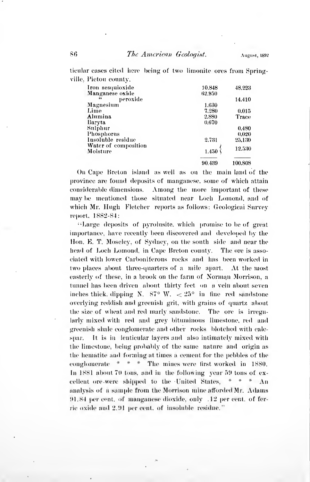ticular cases cited here being of two limonite ores from Springville. Pietou county.

| Iron sesquioxide     | 10.848 | 48.223  |
|----------------------|--------|---------|
| Manganese oxide      | 62.950 |         |
| peroxide<br>66       |        | 14.410  |
| Magnesium            | 1.630  |         |
| Lime                 | 7.280  | 0.015   |
| Alumina              | 2.880  | Trace   |
| Baryta               | 0.670  |         |
| Sulphur              |        | 0.480   |
| Phosphorus           |        | 0.020   |
| Insoluble residue    | 2.731  | 25,130  |
| Water of composition |        |         |
| Moisture             | 1.450  | 12.530  |
|                      | 90.439 | 100.808 |

On Cape Breton island as well as on the main land of the province are found deposits of manganese, some of which attain considerable dimensions. Among the more important of these may be mentioned those situated near Loch Lonond, and of which Mr. Hugh Fletcher reports as follows: Geological Survey report. 1882-84:

"Large deposits of pyrolusite, which promise to be of great importance, have recently been discovered and developed by the Hon, E. T. Moseley, of Sydney, on the south side and near the head of Loch Lomond, in Cape Breton county. The ore is associated with lower Carboniferous rocks and has been worked in two places about three-quarters of a mile apart. At the most easterly of these, in a brook on the farm of Norman Morrison, a tunnel has been driven about thirty feet on a vein about seven inches thick, dipping N.  $87^{\circ}$  W.  $\lt 25^{\circ}$  in fine red sandstone overlying reddish and greenish grit, with grains of quartz about the size of wheat and red marly sandstone. The ore is irregularly mixed with red and grey bituminous limestone, red and greenish shale conglomerate and other rocks blotched with calcspar. It is in lenticular layers and also intimately mixed with the limestone, being probably of the same nature and origin as the hematite and forming at times a cement for the pebbles of the conglomerate  $* * *$  The mines were first worked in 1880. In 1881 about 70 tons, and in the following year 59 tons of excellent ore were shipped to the United States.  $*$   $*$   $*$   $\Lambda$ n analysis of a sample from the Morrison mine afforded Mr. Adams 91.84 per cent, of manganese dioxide, only .12 per cent, of ferrie oxide and 2.91 per cent, of insoluble residue."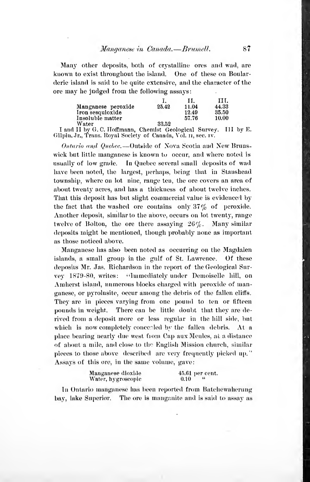Many other deposits, both of crystalline ores and wad, are known to exist throughout the island. One of these on Boularderic island is said to be quite extensive, and the character of the ore may he judged from the following assays:

|                    |       | 11.   | н.    |
|--------------------|-------|-------|-------|
| Manganese peroxide | 25.42 | 11.04 | 44.33 |
| Iron sesquioxide   |       | 12.49 | 35.50 |
| Insoluble matter   |       | 57.76 | 10.00 |
| Wotor              | 99.KO |       |       |

I and II by G.C. Hoffmann, Chemist Geological Survey. IlI by E. Gilpin, Jr., Trans. Royal Society of Canada, Vol. 11, sec. 1v.

Ontario and Quebec.—Outside of Nova Scotia and New Brunswick but little manganese is known to occur, and where noted is usually of low grade. In Quebec several small deposits of wad have been noted, the largest, perhaps, being that in Stanshead township, where on lot nine, range ten, the ore covers an area of about twenty acres, and has a thickness of about twelve inches. That this deposit has but slight commercial value is evidenced by the fact that the washed ore contains only  $37\%$  of peroxide. Another deposit, similar to the above, occurs on lot twenty, range twelve of Bolton, the ore there assaying  $26\%$ . Many similar deposits might be mentioned, though probably none as important as those noticed above.

Manganese has also been noted as occurring on the Magdalen islands, a small group in the gulf of St. Lawrence. Of these deposits Mr. Jas. Richardson in the report of the Geological Survev 1879-80, writes: "Immediately under Demoiselle hill, on Amherst island, numerous blocks charged with peroxide of manganese, or pyrolusite, occur among the debris of the fallen cliffs. They are in pieces varying from one pound to ten or fifteen pounds in weight. There can be little doubt that they are derived from a deposit more or less regular in the hill side, bnt which is now completely concealed by the fallen debris.  $At<sub>a</sub>$ place bearing nearly due west from Cap aux Meules, at a distance of about a mile, and close to the English Mission church, similar pieces to those above described are very frequently picked up." Assays of this ore, in the same volume, gave:

| Manganese dioxide  | $45.61$ per cent. |  |  |
|--------------------|-------------------|--|--|
| Water, hygroscopic | 0.10              |  |  |

In Ontario manganese has been reported from Batchewaherung bay, lake Superior. The ore is manganite and is said to assay as